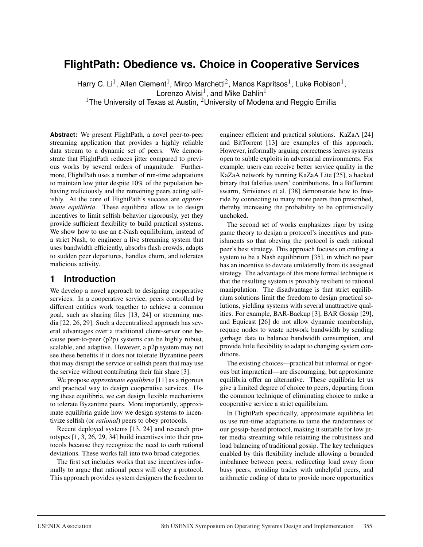# **FlightPath: Obedience vs. Choice in Cooperative Services**

Harry C. Li<sup>1</sup>, Allen Clement<sup>1</sup>, Mirco Marchetti<sup>2</sup>, Manos Kapritsos<sup>1</sup>, Luke Robison<sup>1</sup>, Lorenzo Alvisi<sup>1</sup>, and Mike Dahlin<sup>1</sup> <sup>1</sup>The University of Texas at Austin, <sup>2</sup>University of Modena and Reggio Emilia

**Abstract:** We present FlightPath, a novel peer-to-peer streaming application that provides a highly reliable data stream to a dynamic set of peers. We demonstrate that FlightPath reduces jitter compared to previous works by several orders of magnitude. Furthermore, FlightPath uses a number of run-time adaptations to maintain low jitter despite 10% of the population behaving maliciously and the remaining peers acting selfishly. At the core of FlightPath's success are *approximate equilibria*. These equilibria allow us to design incentives to limit selfish behavior rigorously, yet they provide sufficient flexibility to build practical systems. We show how to use an ε-Nash equilibrium, instead of a strict Nash, to engineer a live streaming system that uses bandwidth efficiently, absorbs flash crowds, adapts to sudden peer departures, handles churn, and tolerates malicious activity.

### **1 Introduction**

We develop a novel approach to designing cooperative services. In a cooperative service, peers controlled by different entities work together to achieve a common goal, such as sharing files [13, 24] or streaming media [22, 26, 29]. Such a decentralized approach has several advantages over a traditional client-server one because peer-to-peer (p2p) systems can be highly robust, scalable, and adaptive. However, a p2p system may not see these benefits if it does not tolerate Byzantine peers that may disrupt the service or selfish peers that may use the service without contributing their fair share [3].

We propose *approximate equilibria* [11] as a rigorous and practical way to design cooperative services. Using these equilibria, we can design flexible mechanisms to tolerate Byzantine peers. More importantly, approximate equilibria guide how we design systems to incentivize selfish (or *rational*) peers to obey protocols.

Recent deployed systems [13, 24] and research prototypes [1, 3, 26, 29, 34] build incentives into their protocols because they recognize the need to curb rational deviations. These works fall into two broad categories.

The first set includes works that use incentives informally to argue that rational peers will obey a protocol. This approach provides system designers the freedom to engineer efficient and practical solutions. KaZaA [24] and BitTorrent [13] are examples of this approach. However, informally arguing correctness leaves systems open to subtle exploits in adversarial environments. For example, users can receive better service quality in the KaZaA network by running KaZaA Lite [25], a hacked binary that falsifies users' contributions. In a BitTorrent swarm, Sirivianos et al. [38] demonstrate how to freeride by connecting to many more peers than prescribed, thereby increasing the probability to be optimistically unchoked.

The second set of works emphasizes rigor by using game theory to design a protocol's incentives and punishments so that obeying the protocol is each rational peer's best strategy. This approach focuses on crafting a system to be a Nash equilibrium [35], in which no peer has an incentive to deviate unilaterally from its assigned strategy. The advantage of this more formal technique is that the resulting system is provably resilient to rational manipulation. The disadvantage is that strict equilibrium solutions limit the freedom to design practical solutions, yielding systems with several unattractive qualities. For example, BAR-Backup [3], BAR Gossip [29], and Equicast [26] do not allow dynamic membership, require nodes to waste network bandwidth by sending garbage data to balance bandwidth consumption, and provide little flexibility to adapt to changing system conditions.

The existing choices—practical but informal or rigorous but impractical—are discouraging, but approximate equilibria offer an alternative. These equilibria let us give a limited degree of choice to peers, departing from the common technique of eliminating choice to make a cooperative service a strict equilibrium.

In FlightPath specifically, approximate equilibria let us use run-time adaptations to tame the randomness of our gossip-based protocol, making it suitable for low jitter media streaming while retaining the robustness and load balancing of traditional gossip. The key techniques enabled by this flexibility include allowing a bounded imbalance between peers, redirecting load away from busy peers, avoiding trades with unhelpful peers, and arithmetic coding of data to provide more opportunities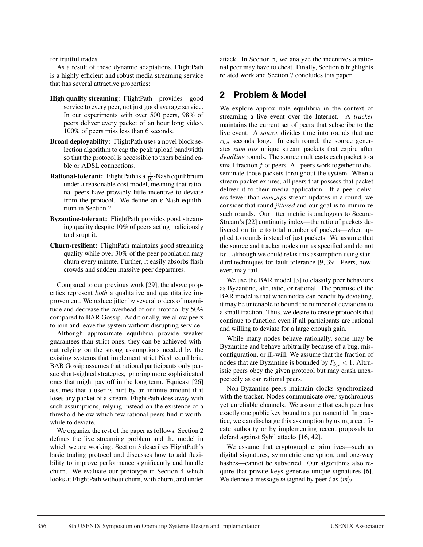for fruitful trades.

As a result of these dynamic adaptations, FlightPath is a highly efficient and robust media streaming service that has several attractive properties:

- High quality streaming: FlightPath provides good service to every peer, not just good average service. In our experiments with over 500 peers, 98% of peers deliver every packet of an hour long video. 100% of peers miss less than 6 seconds.
- Broad deployability: FlightPath uses a novel block selection algorithm to cap the peak upload bandwidth so that the protocol is accessible to users behind cable or ADSL connections.
- **Rational-tolerant:** FlightPath is a  $\frac{1}{10}$ -Nash equilibrium under a reasonable cost model, meaning that rational peers have provably little incentive to deviate from the protocol. We define an ε-Nash equilibrium in Section 2.
- Byzantine-tolerant: FlightPath provides good streaming quality despite 10% of peers acting maliciously to disrupt it.
- Churn-resilient: FlightPath maintains good streaming quality while over 30% of the peer population may churn every minute. Further, it easily absorbs flash crowds and sudden massive peer departures.

Compared to our previous work [29], the above properties represent *both* a qualitative and quantitative improvement. We reduce jitter by several orders of magnitude and decrease the overhead of our protocol by 50% compared to BAR Gossip. Additionally, we allow peers to join and leave the system without disrupting service.

Although approximate equilibria provide weaker guarantees than strict ones, they can be achieved without relying on the strong assumptions needed by the existing systems that implement strict Nash equilibria. BAR Gossip assumes that rational participants only pursue short-sighted strategies, ignoring more sophisticated ones that might pay off in the long term. Equicast [26] assumes that a user is hurt by an infinite amount if it loses any packet of a stream. FlightPath does away with such assumptions, relying instead on the existence of a threshold below which few rational peers find it worthwhile to deviate.

We organize the rest of the paper as follows. Section 2 defines the live streaming problem and the model in which we are working. Section 3 describes FlightPath's basic trading protocol and discusses how to add flexibility to improve performance significantly and handle churn. We evaluate our prototype in Section 4 which looks at FlightPath without churn, with churn, and under attack. In Section 5, we analyze the incentives a rational peer may have to cheat. Finally, Section 6 highlights related work and Section 7 concludes this paper.

## **2 Problem & Model**

We explore approximate equilibria in the context of streaming a live event over the Internet. A *tracker* maintains the current set of peers that subscribe to the live event. A *source* divides time into rounds that are *rlen* seconds long. In each round, the source generates *num ups* unique stream packets that expire after *deadline* rounds. The source multicasts each packet to a small fraction *f* of peers. All peers work together to disseminate those packets throughout the system. When a stream packet expires, all peers that possess that packet deliver it to their media application. If a peer delivers fewer than *num\_ups* stream updates in a round, we consider that round *jittered* and our goal is to minimize such rounds. Our jitter metric is analogous to Secure-Stream's [22] continuity index—the ratio of packets delivered on time to total number of packets—when applied to rounds instead of just packets. We assume that the source and tracker nodes run as specified and do not fail, although we could relax this assumption using standard techniques for fault-tolerance [9, 39]. Peers, however, may fail.

We use the BAR model [3] to classify peer behaviors as Byzantine, altruistic, or rational. The premise of the BAR model is that when nodes can benefit by deviating, it may be untenable to bound the number of deviations to a small fraction. Thus, we desire to create protocols that continue to function even if all participants are rational and willing to deviate for a large enough gain.

While many nodes behave rationally, some may be Byzantine and behave arbitrarily because of a bug, misconfiguration, or ill-will. We assume that the fraction of nodes that are Byzantine is bounded by  $F_{byz}$  < 1. Altruistic peers obey the given protocol but may crash unexpectedly as can rational peers.

Non-Byzantine peers maintain clocks synchronized with the tracker. Nodes communicate over synchronous yet unreliable channels. We assume that each peer has exactly one public key bound to a permanent id. In practice, we can discharge this assumption by using a certificate authority or by implementing recent proposals to defend against Sybil attacks [16, 42].

We assume that cryptographic primitives—such as digital signatures, symmetric encryption, and one-way hashes—cannot be subverted. Our algorithms also require that private keys generate unique signatures [6]. We denote a message *m* signed by peer *i* as  $\langle m \rangle_i$ .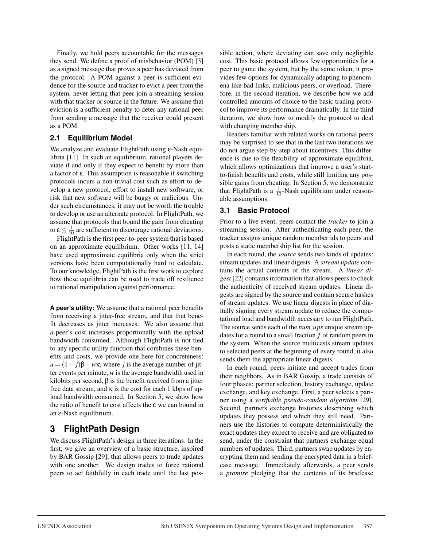Finally, we hold peers accountable for the messages they send. We define a proof of misbehavior (POM) [3] as a signed message that proves a peer has deviated from the protocol. A POM against a peer is sufficient evidence for the source and tracker to evict a peer from the system, never letting that peer join a streaming session with that tracker or source in the future. We assume that eviction is a sufficient penalty to deter any rational peer from sending a message that the receiver could present as a POM.

#### **2.1 Equilibrium Model**

We analyze and evaluate FlightPath using ε-Nash equilibria [11]. In such an equilibrium, rational players deviate if and only if they expect to benefit by more than a factor of ε. This assumption is reasonable if switching protocols incurs a non-trivial cost such as effort to develop a new protocol, effort to install new software, or risk that new software will be buggy or malicious. Under such circumstances, it may not be worth the trouble to develop or use an alternate protocol. In FlightPath, we assume that protocols that bound the gain from cheating to  $\epsilon \leq \frac{1}{10}$  are sufficient to discourage rational deviations.

FlightPath is the first peer-to-peer system that is based on an approximate equilibrium. Other works [11, 14] have used approximate equilibria only when the strict versions have been computationally hard to calculate. To our knowledge, FlightPath is the first work to explore how these equilibria can be used to trade off resilience to rational manipulation against performance.

**A peer's utility:** We assume that a rational peer benefits from receiving a jitter-free stream, and that that benefit decreases as jitter increases. We also assume that a peer's cost increases proportionally with the upload bandwidth consumed. Although FlightPath is not tied to any specific utility function that combines these benefits and costs, we provide one here for concreteness:  $u = (1 - j)\beta - w\kappa$ , where *j* is the average number of jitter events per minute, *w* is the average bandwidth used in kilobits per second, β is the benefit received from a jitter free data stream, and  $\kappa$  is the cost for each 1 kbps of upload bandwidth consumed. In Section 5, we show how the ratio of benefit to cost affects the  $\varepsilon$  we can bound in an ε-Nash equilibrium.

# **3 FlightPath Design**

We discuss FlightPath's design in three iterations. In the first, we give an overview of a basic structure, inspired by BAR Gossip [29], that allows peers to trade updates with one another. We design trades to force rational peers to act faithfully in each trade until the last possible action, where deviating can save only negligible cost. This basic protocol allows few opportunities for a peer to game the system, but by the same token, it provides few options for dynamically adapting to phenomena like bad links, malicious peers, or overload. Therefore, in the second iteration, we describe how we add controlled amounts of choice to the basic trading protocol to improve its performance dramatically. In the third iteration, we show how to modify the protocol to deal with changing membership.

Readers familiar with related works on rational peers may be surprised to see that in the last two iterations we do not argue step-by-step about incentives. This difference is due to the flexibility of approximate equilibria, which allows optimizations that improve a user's startto-finish benefits and costs, while still limiting any possible gains from cheating. In Section 5, we demonstrate that FlightPath is a  $\frac{1}{10}$ -Nash equilibrium under reasonable assumptions.

#### **3.1 Basic Protocol**

Prior to a live event, peers contact the *tracker* to join a streaming session. After authenticating each peer, the tracker assigns unique random member ids to peers and posts a static membership list for the session.

In each round, the *source* sends two kinds of updates: stream updates and linear digests. A *stream update* contains the actual contents of the stream. A *linear digest* [22] contains information that allows peers to check the authenticity of received stream updates. Linear digests are signed by the source and contain secure hashes of stream updates. We use linear digests in place of digitally signing every stream update to reduce the computational load and bandwidth necessary to run FlightPath. The source sends each of the *num ups* unique stream updates for a round to a small fraction *f* of random peers in the system. When the source multicasts stream updates to selected peers at the beginning of every round, it also sends them the appropriate linear digests.

In each round, peers initiate and accept trades from their neighbors. As in BAR Gossip, a trade consists of four phases: partner selection, history exchange, update exchange, and key exchange. First, a peer selects a partner using a *verifiable pseudo-random algorithm* [29]. Second, partners exchange histories describing which updates they possess and which they still need. Partners use the histories to compute deterministically the exact updates they expect to receive and are obligated to send, under the constraint that partners exchange equal numbers of updates. Third, partners swap updates by encrypting them and sending the encrypted data in a briefcase message. Immediately afterwards, a peer sends a *promise* pledging that the contents of its briefcase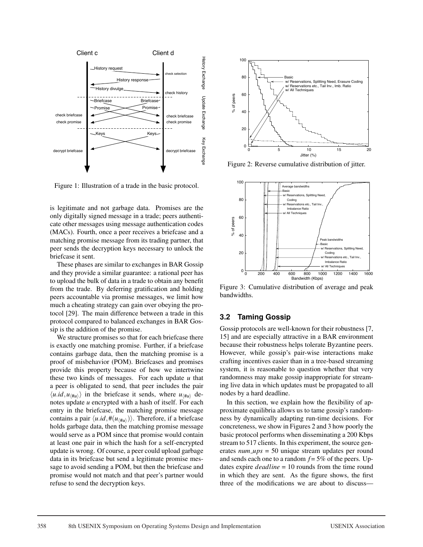

Figure 1: Illustration of a trade in the basic protocol.

is legitimate and not garbage data. Promises are the only digitally signed message in a trade; peers authenticate other messages using message authentication codes (MACs). Fourth, once a peer receives a briefcase and a matching promise message from its trading partner, that peer sends the decryption keys necessary to unlock the briefcase it sent.

These phases are similar to exchanges in BAR Gossip and they provide a similar guarantee: a rational peer has to upload the bulk of data in a trade to obtain any benefit from the trade. By deferring gratification and holding peers accountable via promise messages, we limit how much a cheating strategy can gain over obeying the protocol [29]. The main difference between a trade in this protocol compared to balanced exchanges in BAR Gossip is the addition of the promise.

We structure promises so that for each briefcase there is exactly one matching promise. Further, if a briefcase contains garbage data, then the matching promise is a proof of misbehavior (POM). Briefcases and promises provide this property because of how we intertwine these two kinds of messages. For each update *u* that a peer is obligated to send, that peer includes the pair  $\langle u.i d, u \rangle$  in the briefcase it sends, where  $u_{\langle \mu u \rangle}$  denotes update *u* encrypted with a hash of itself. For each entry in the briefcase, the matching promise message contains a pair  $\langle u \cdot id, \#(u_{\mu\nu}) \rangle$ . Therefore, if a briefcase holds garbage data, then the matching promise message would serve as a POM since that promise would contain at least one pair in which the hash for a self-encrypted update is wrong. Of course, a peer could upload garbage data in its briefcase but send a legitimate promise message to avoid sending a POM, but then the briefcase and promise would not match and that peer's partner would refuse to send the decryption keys.



Figure 2: Reverse cumulative distribution of jitter.



Figure 3: Cumulative distribution of average and peak bandwidths.

#### **3.2 Taming Gossip**

Gossip protocols are well-known for their robustness [7, 15] and are especially attractive in a BAR environment because their robustness helps tolerate Byzantine peers. However, while gossip's pair-wise interactions make crafting incentives easier than in a tree-based streaming system, it is reasonable to question whether that very randomness may make gossip inappropriate for streaming live data in which updates must be propagated to all nodes by a hard deadline.

In this section, we explain how the flexibility of approximate equilibria allows us to tame gossip's randomness by dynamically adapting run-time decisions. For concreteness, we show in Figures 2 and 3 how poorly the basic protocol performs when disseminating a 200 Kbps stream to 517 clients. In this experiment, the source generates *num ups* = 50 unique stream updates per round and sends each one to a random  $f = 5\%$  of the peers. Updates expire *deadline* = 10 rounds from the time round in which they are sent. As the figure shows, the first three of the modifications we are about to discuss—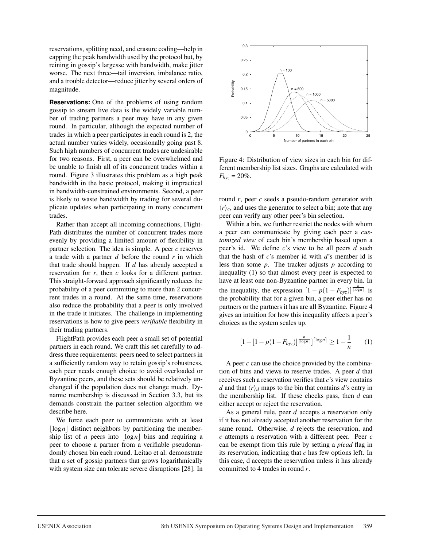reservations, splitting need, and erasure coding—help in capping the peak bandwidth used by the protocol but, by reining in gossip's largesse with bandwidth, make jitter worse. The next three—tail inversion, imbalance ratio, and a trouble detector—reduce jitter by several orders of magnitude.

**Reservations:** One of the problems of using random gossip to stream live data is the widely variable number of trading partners a peer may have in any given round. In particular, although the expected number of trades in which a peer participates in each round is 2, the actual number varies widely, occasionally going past 8. Such high numbers of concurrent trades are undesirable for two reasons. First, a peer can be overwhelmed and be unable to finish all of its concurrent trades within a round. Figure 3 illustrates this problem as a high peak bandwidth in the basic protocol, making it impractical in bandwidth-constrained environments. Second, a peer is likely to waste bandwidth by trading for several duplicate updates when participating in many concurrent trades.

Rather than accept all incoming connections, Flight-Path distributes the number of concurrent trades more evenly by providing a limited amount of flexibility in partner selection. The idea is simple. A peer *c* reserves a trade with a partner *d* before the round *r* in which that trade should happen. If *d* has already accepted a reservation for *r*, then *c* looks for a different partner. This straight-forward approach significantly reduces the probability of a peer committing to more than 2 concurrent trades in a round. At the same time, reservations also reduce the probability that a peer is only involved in the trade it initiates. The challenge in implementing reservations is how to give peers *verifiable* flexibility in their trading partners.

FlightPath provides each peer a small set of potential partners in each round. We craft this set carefully to address three requirements: peers need to select partners in a sufficiently random way to retain gossip's robustness, each peer needs enough choice to avoid overloaded or Byzantine peers, and these sets should be relatively unchanged if the population does not change much. Dynamic membership is discussed in Section 3.3, but its demands constrain the partner selection algorithm we describe here.

We force each peer to communicate with at least  $\log n$  distinct neighbors by partitioning the membership list of *n* peers into  $\log n$  bins and requiring a peer to choose a partner from a verifiable pseudorandomly chosen bin each round. Leitao et al. demonstrate that a set of gossip partners that grows logarithmically with system size can tolerate severe disruptions [28]. In



Figure 4: Distribution of view sizes in each bin for different membership list sizes. Graphs are calculated with  $F_{b\nu z} = 20\%$ .

round *r*, peer *c* seeds a pseudo-random generator with  $\langle r \rangle_c$ , and uses the generator to select a bin; note that any peer can verify any other peer's bin selection.

Within a bin, we further restrict the nodes with whom a peer can communicate by giving each peer a *customized view* of each bin's membership based upon a peer's id. We define *c*'s view to be all peers *d* such that the hash of *c*'s member id with *d*'s member id is less than some *p*. The tracker adjusts *p* according to inequality (1) so that almost every peer is expected to have at least one non-Byzantine partner in every bin. In the inequality, the expression  $[1 - p(1 - F_{byz})]^{\frac{n}{|\log n|}}$  is the probability that for a given bin, a peer either has no partners or the partners it has are all Byzantine. Figure 4 gives an intuition for how this inequality affects a peer's choices as the system scales up.

$$
\left[1 - \left[1 - p(1 - F_{byz})\right]^{\frac{n}{\lceil \log n \rceil}}\right]^{\lceil \log n \rceil} \ge 1 - \frac{1}{n} \tag{1}
$$

A peer *c* can use the choice provided by the combination of bins and views to reserve trades. A peer *d* that receives such a reservation verifies that *c*'s view contains *d* and that  $\langle r \rangle_d$  maps to the bin that contains *d*'s entry in the membership list. If these checks pass, then *d* can either accept or reject the reservation.

As a general rule, peer *d* accepts a reservation only if it has not already accepted another reservation for the same round. Otherwise, *d* rejects the reservation, and *c* attempts a reservation with a different peer. Peer *c* can be exempt from this rule by setting a *plead* flag in its reservation, indicating that *c* has few options left. In this case, d accepts the reservation unless it has already committed to 4 trades in round *r*.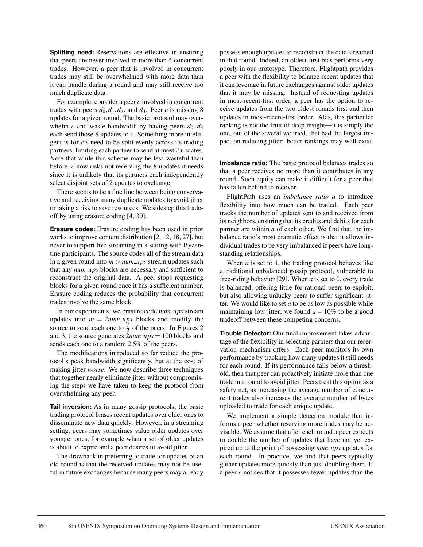**Splitting need:** Reservations are effective in ensuring that peers are never involved in more than 4 concurrent trades. However, a peer that is involved in concurrent trades may still be overwhelmed with more data than it can handle during a round and may still receive too much duplicate data.

For example, consider a peer *c* involved in concurrent trades with peers  $d_0$ ,  $d_1$ ,  $d_2$ , and  $d_3$ . Peer *c* is missing 8 updates for a given round. The basic protocol may overwhelm *c* and waste bandwidth by having peers  $d_0-d_3$ each send those 8 updates to *c*. Something more intelligent is for *c*'s need to be split evenly across its trading partners, limiting each partner to send at most 2 updates. Note that while this scheme may be less wasteful than before, *c* now risks not receiving the 8 updates it needs since it is unlikely that its partners each independently select disjoint sets of 2 updates to exchange.

There seems to be a fine line between being conservative and receiving many duplicate updates to avoid jitter or taking a risk to save resources. We sidestep this tradeoff by using erasure coding [4, 30].

**Erasure codes:** Erasure coding has been used in prior works to improve content distribution [2, 12, 18, 27], but never to support live streaming in a setting with Byzantine participants. The source codes all of the stream data in a given round into  $m > num \text{w}$  stream updates such that any *num ups* blocks are necessary and sufficient to reconstruct the original data. A peer stops requesting blocks for a given round once it has a sufficient number. Erasure coding reduces the probability that concurrent trades involve the same block.

In our experiments, we erasure code *num ups* stream updates into  $m = 2num \text{ m}$  blocks and modify the source to send each one to  $\frac{f}{2}$  of the peers. In Figures 2 and 3, the source generates  $\overline{2}num \angle ups = 100$  blocks and sends each one to a random 2.5% of the peers.

The modifications introduced so far reduce the protocol's peak bandwidth significantly, but at the cost of making jitter *worse*. We now describe three techniques that together nearly eliminate jitter without compromising the steps we have taken to keep the protocol from overwhelming any peer.

**Tail inversion:** As in many gossip protocols, the basic trading protocol biases recent updates over older ones to disseminate new data quickly. However, in a streaming setting, peers may sometimes value older updates over younger ones, for example when a set of older updates is about to expire and a peer desires to avoid jitter.

The drawback in preferring to trade for updates of an old round is that the received updates may not be useful in future exchanges because many peers may already possess enough updates to reconstruct the data streamed in that round. Indeed, an oldest-first bias performs very poorly in our prototype. Therefore, Flightpath provides a peer with the flexibility to balance recent updates that it can leverage in future exchanges against older updates that it may be missing. Instead of requesting updates in most-recent-first order, a peer has the option to receive updates from the two oldest rounds first and then updates in most-recent-first order. Alas, this particular ranking is not the fruit of deep insight—it is simply the one, out of the several we tried, that had the largest impact on reducing jitter: better rankings may well exist.

**Imbalance ratio:** The basic protocol balances trades so that a peer receives no more than it contributes in any round. Such equity can make it difficult for a peer that has fallen behind to recover.

FlightPath uses an *imbalance ratio a* to introduce flexibility into how much can be traded. Each peer tracks the number of updates sent to and received from its neighbors, ensuring that its credits and debits for each partner are within *a* of each other. We find that the imbalance ratio's most dramatic effect is that it allows individual trades to be very imbalanced if peers have longstanding relationships.

When  $a$  is set to 1, the trading protocol behaves like a traditional unbalanced gossip protocol, vulnerable to free-riding behavior [29]. When *a* is set to 0, every trade is balanced, offering little for rational peers to exploit, but also allowing unlucky peers to suffer significant jitter. We would like to set *a* to be as low as possible while maintaining low jitter; we found  $a = 10\%$  to be a good tradeoff between these competing concerns.

**Trouble Detector:** Our final improvement takes advantage of the flexibility in selecting partners that our reservation mechanism offers. Each peer monitors its own performance by tracking how many updates it still needs for each round. If its performance falls below a threshold, then that peer can proactively initiate more than one trade in a round to avoid jitter. Peers treat this option as a safety net, as increasing the average number of concurrent trades also increases the average number of bytes uploaded to trade for each unique update.

We implement a simple detection module that informs a peer whether reserving more trades may be advisable. We assume that after each round a peer expects to double the number of updates that have not yet expired up to the point of possessing *num ups* updates for each round. In practice, we find that peers typically gather updates more quickly than just doubling them. If a peer *c* notices that it possesses fewer updates than the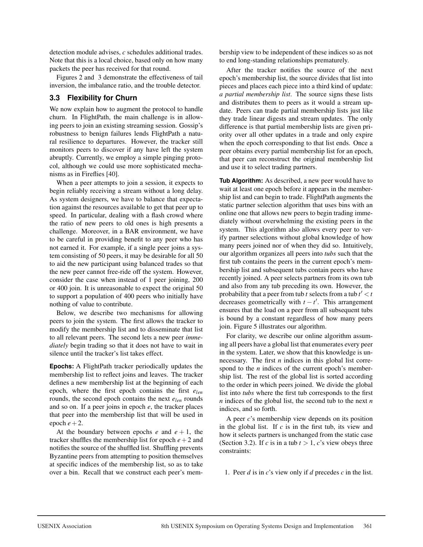detection module advises, *c* schedules additional trades. Note that this is a local choice, based only on how many packets the peer has received for that round.

Figures 2 and 3 demonstrate the effectiveness of tail inversion, the imbalance ratio, and the trouble detector.

#### **3.3 Flexibility for Churn**

We now explain how to augment the protocol to handle churn. In FlightPath, the main challenge is in allowing peers to join an existing streaming session. Gossip's robustness to benign failures lends FlightPath a natural resilience to departures. However, the tracker still monitors peers to discover if any have left the system abruptly. Currently, we employ a simple pinging protocol, although we could use more sophisticated mechanisms as in Fireflies [40].

When a peer attempts to join a session, it expects to begin reliably receiving a stream without a long delay. As system designers, we have to balance that expectation against the resources available to get that peer up to speed. In particular, dealing with a flash crowd where the ratio of new peers to old ones is high presents a challenge. Moreover, in a BAR environment, we have to be careful in providing benefit to any peer who has not earned it. For example, if a single peer joins a system consisting of 50 peers, it may be desirable for all 50 to aid the new participant using balanced trades so that the new peer cannot free-ride off the system. However, consider the case when instead of 1 peer joining, 200 or 400 join. It is unreasonable to expect the original 50 to support a population of 400 peers who initially have nothing of value to contribute.

Below, we describe two mechanisms for allowing peers to join the system. The first allows the tracker to modify the membership list and to disseminate that list to all relevant peers. The second lets a new peer *immediately* begin trading so that it does not have to wait in silence until the tracker's list takes effect.

**Epochs:** A FlightPath tracker periodically updates the membership list to reflect joins and leaves. The tracker defines a new membership list at the beginning of each epoch, where the first epoch contains the first *elen* rounds, the second epoch contains the next *elen* rounds and so on. If a peer joins in epoch *e*, the tracker places that peer into the membership list that will be used in epoch  $e+2$ .

At the boundary between epochs  $e$  and  $e + 1$ , the tracker shuffles the membership list for epoch  $e + 2$  and notifies the source of the shuffled list. Shuffling prevents Byzantine peers from attempting to position themselves at specific indices of the membership list, so as to take over a bin. Recall that we construct each peer's membership view to be independent of these indices so as not to end long-standing relationships prematurely.

After the tracker notifies the source of the next epoch's membership list, the source divides that list into pieces and places each piece into a third kind of update: *a partial membership list*. The source signs these lists and distributes them to peers as it would a stream update. Peers can trade partial membership lists just like they trade linear digests and stream updates. The only difference is that partial membership lists are given priority over all other updates in a trade and only expire when the epoch corresponding to that list ends. Once a peer obtains every partial membership list for an epoch, that peer can reconstruct the original membership list and use it to select trading partners.

**Tub Algorithm:** As described, a new peer would have to wait at least one epoch before it appears in the membership list and can begin to trade. FlightPath augments the static partner selection algorithm that uses bins with an online one that allows new peers to begin trading immediately without overwhelming the existing peers in the system. This algorithm also allows every peer to verify partner selections without global knowledge of how many peers joined nor of when they did so. Intuitively, our algorithm organizes all peers into *tubs* such that the first tub contains the peers in the current epoch's membership list and subsequent tubs contain peers who have recently joined. A peer selects partners from its own tub and also from any tub preceding its own. However, the probability that a peer from tub  $t$  selects from a tub  $t' < t$ decreases geometrically with  $t - t'$ . This arrangement ensures that the load on a peer from all subsequent tubs is bound by a constant regardless of how many peers join. Figure 5 illustrates our algorithm.

For clarity, we describe our online algorithm assuming all peers have a global list that enumerates every peer in the system. Later, we show that this knowledge is unnecessary. The first *n* indices in this global list correspond to the *n* indices of the current epoch's membership list. The rest of the global list is sorted according to the order in which peers joined. We divide the global list into *tubs* where the first tub corresponds to the first *n* indices of the global list, the second tub to the next *n* indices, and so forth.

A peer *c*'s membership view depends on its position in the global list. If *c* is in the first tub, its view and how it selects partners is unchanged from the static case (Section 3.2). If *c* is in a tub  $t > 1$ , *c*'s view obeys three constraints:

1. Peer *d* is in *c*'s view only if *d* precedes *c* in the list.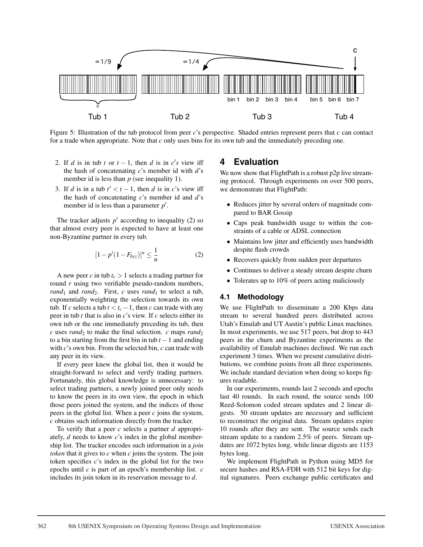

Figure 5: Illustration of the tub protocol from peer *c*'s perspective. Shaded entries represent peers that *c* can contact for a trade when appropriate. Note that *c* only uses bins for its own tub and the immediately preceding one.

- 2. If *d* is in tub *t* or  $t 1$ , then *d* is in *c*'s view iff the hash of concatenating *c*'s member id with *d*'s member id is less than *p* (see inequality 1).
- 3. If *d* is in a tub  $t' < t 1$ , then *d* is in *c*'s view iff the hash of concatenating *c*'s member id and *d*'s member id is less than a parameter *p* .

The tracker adjusts  $p'$  according to inequality (2) so that almost every peer is expected to have at least one non-Byzantine partner in every tub.

$$
[1 - p'(1 - F_{byz})]^n \le \frac{1}{n}
$$
 (2)

A new peer *c* in tub  $t_c > 1$  selects a trading partner for round *r* using two verifiable pseudo-random numbers,  $rand_1$  and  $rand_2$ . First, *c* uses  $rand_1$  to select a tub, exponentially weighting the selection towards its own tub. If *c* selects a tub  $t < t_c - 1$ , then *c* can trade with any peer in tub *t* that is also in *c*'s view. If *c* selects either its own tub or the one immediately preceding its tub, then  $c$  uses *rand*<sub>2</sub> to make the final selection.  $c$  maps *rand*<sub>2</sub> to a bin starting from the first bin in tub  $t - 1$  and ending with *c*'s own bin. From the selected bin, *c* can trade with any peer in its view.

If every peer knew the global list, then it would be straight-forward to select and verify trading partners. Fortunately, this global knowledge is unnecessary: to select trading partners, a newly joined peer only needs to know the peers in its own view, the epoch in which those peers joined the system, and the indices of those peers in the global list. When a peer *c* joins the system, *c* obtains such information directly from the tracker.

To verify that a peer *c* selects a partner *d* appropriately, *d* needs to know *c*'s index in the global membership list. The tracker encodes such information in a *join token* that it gives to *c* when *c* joins the system. The join token specifies *c*'s index in the global list for the two epochs until *c* is part of an epoch's membership list. *c* includes its join token in its reservation message to *d*.

### **4 Evaluation**

We now show that FlightPath is a robust p2p live streaming protocol. Through experiments on over 500 peers, we demonstrate that FlightPath:

- Reduces jitter by several orders of magnitude compared to BAR Gossip
- Caps peak bandwidth usage to within the constraints of a cable or ADSL connection
- Maintains low jitter and efficiently uses bandwidth despite flash crowds
- Recovers quickly from sudden peer departures
- Continues to deliver a steady stream despite churn
- Tolerates up to 10% of peers acting maliciously

#### **4.1 Methodology**

We use FlightPath to disseminate a 200 Kbps data stream to several hundred peers distributed across Utah's Emulab and UT Austin's public Linux machines. In most experiments, we use 517 peers, but drop to 443 peers in the churn and Byzantine experiments as the availability of Emulab machines declined. We run each experiment 3 times. When we present cumulative distributions, we combine points from all three experiments. We include standard deviation when doing so keeps figures readable.

In our experiments, rounds last 2 seconds and epochs last 40 rounds. In each round, the source sends 100 Reed-Solomon coded stream updates and 2 linear digests. 50 stream updates are necessary and sufficient to reconstruct the original data. Stream updates expire 10 rounds after they are sent. The source sends each stream update to a random 2.5% of peers. Stream updates are 1072 bytes long, while linear digests are 1153 bytes long.

We implement FlightPath in Python using MD5 for secure hashes and RSA-FDH with 512 bit keys for digital signatures. Peers exchange public certificates and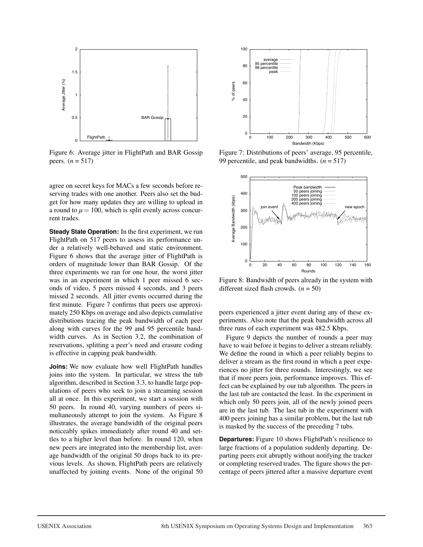

Figure 6: Average jitter in FlightPath and BAR Gossip peers.  $(n = 517)$ 

agree on secret keys for MACs a few seconds before reserving trades with one another. Peers also set the budget for how many updates they are willing to upload in a round to  $\mu = 100$ , which is split evenly across concurrent trades.

**Steady State Operation:** In the first experiment, we run FlightPath on 517 peers to assess its performance under a relatively well-behaved and static environment. Figure 6 shows that the average jitter of FlightPath is orders of magnitude lower than BAR Gossip. Of the three experiments we ran for one hour, the worst jitter was in an experiment in which 1 peer missed 6 seconds of video, 5 peers missed 4 seconds, and 3 peers missed 2 seconds. All jitter events occurred during the first minute. Figure 7 confirms that peers use approximately 250 Kbps on average and also depicts cumulative distributions tracing the peak bandwidth of each peer along with curves for the 99 and 95 percentile bandwidth curves. As in Section 3.2, the combination of reservations, splitting a peer's need and erasure coding is effective in capping peak bandwidth.

**Joins:** We now evaluate how well FlightPath handles joins into the system. In particular, we stress the tub algorithm, described in Section 3.3, to handle large populations of peers who seek to join a streaming session all at once. In this experiment, we start a session with 50 peers. In round 40, varying numbers of peers simultaneously attempt to join the system. As Figure 8 illustrates, the average bandwidth of the original peers noticeably spikes immediately after round 40 and settles to a higher level than before. In round 120, when new peers are integrated into the membership list, average bandwidth of the original 50 drops back to its previous levels. As shown, FlightPath peers are relatively unaffected by joining events. None of the original 50



Figure 7: Distributions of peers' average, 95 percentile, 99 percentile, and peak bandwidths. (*n* = 517)



Figure 8: Bandwidth of peers already in the system with different sized flash crowds. (*n* = 50)

peers experienced a jitter event during any of these experiments. Also note that the peak bandwidth across all three runs of each experiment was 482.5 Kbps.

Figure 9 depicts the number of rounds a peer may have to wait before it begins to deliver a stream reliably. We define the round in which a peer reliably begins to deliver a stream as the first round in which a peer experiences no jitter for three rounds. Interestingly, we see that if more peers join, performance improves. This effect can be explained by our tub algorithm. The peers in the last tub are contacted the least. In the experiment in which only 50 peers join, all of the newly joined peers are in the last tub. The last tub in the experiment with 400 peers joining has a similar problem, but the last tub is masked by the success of the preceding 7 tubs.

**Departures:** Figure 10 shows FlightPath's resilience to large fractions of a population suddenly departing. Departing peers exit abruptly without notifying the tracker or completing reserved trades. The figure shows the percentage of peers jittered after a massive departure event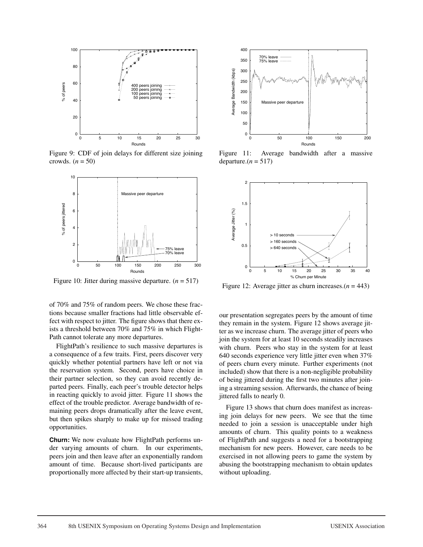

Figure 9: CDF of join delays for different size joining crowds.  $(n = 50)$ 



Figure 10: Jitter during massive departure.  $(n = 517)$ 

of 70% and 75% of random peers. We chose these fractions because smaller fractions had little observable effect with respect to jitter. The figure shows that there exists a threshold between 70% and 75% in which Flight-Path cannot tolerate any more departures.

FlightPath's resilience to such massive departures is a consequence of a few traits. First, peers discover very quickly whether potential partners have left or not via the reservation system. Second, peers have choice in their partner selection, so they can avoid recently departed peers. Finally, each peer's trouble detector helps in reacting quickly to avoid jitter. Figure 11 shows the effect of the trouble predictor. Average bandwidth of remaining peers drops dramatically after the leave event, but then spikes sharply to make up for missed trading opportunities.

**Churn:** We now evaluate how FlightPath performs under varying amounts of churn. In our experiments, peers join and then leave after an exponentially random amount of time. Because short-lived participants are proportionally more affected by their start-up transients,



Figure 11: Average bandwidth after a massive departure. $(n = 517)$ 



Figure 12: Average jitter as churn increases. $(n = 443)$ 

our presentation segregates peers by the amount of time they remain in the system. Figure 12 shows average jitter as we increase churn. The average jitter of peers who join the system for at least 10 seconds steadily increases with churn. Peers who stay in the system for at least 640 seconds experience very little jitter even when 37% of peers churn every minute. Further experiments (not included) show that there is a non-negligible probability of being jittered during the first two minutes after joining a streaming session. Afterwards, the chance of being jittered falls to nearly 0.

Figure 13 shows that churn does manifest as increasing join delays for new peers. We see that the time needed to join a session is unacceptable under high amounts of churn. This quality points to a weakness of FlightPath and suggests a need for a bootstrapping mechanism for new peers. However, care needs to be exercised in not allowing peers to game the system by abusing the bootstrapping mechanism to obtain updates without uploading.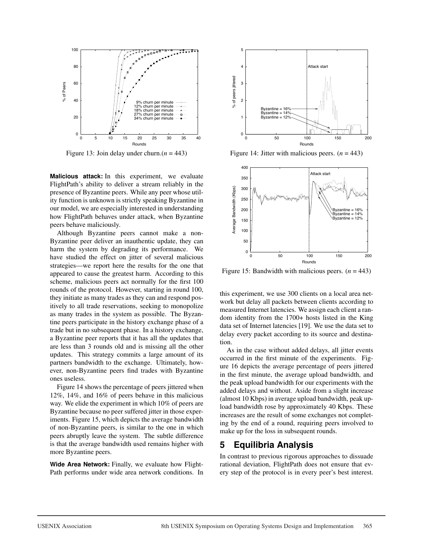

Figure 13: Join delay under churn. $(n = 443)$ 

**Malicious attack:** In this experiment, we evaluate FlightPath's ability to deliver a stream reliably in the presence of Byzantine peers. While any peer whose utility function is unknown is strictly speaking Byzantine in our model, we are especially interested in understanding how FlightPath behaves under attack, when Byzantine peers behave maliciously.

Although Byzantine peers cannot make a non-Byzantine peer deliver an inauthentic update, they can harm the system by degrading its performance. We have studied the effect on jitter of several malicious strategies—we report here the results for the one that appeared to cause the greatest harm. According to this scheme, malicious peers act normally for the first 100 rounds of the protocol. However, starting in round 100, they initiate as many trades as they can and respond positively to all trade reservations, seeking to monopolize as many trades in the system as possible. The Byzantine peers participate in the history exchange phase of a trade but in no subsequent phase. In a history exchange, a Byzantine peer reports that it has all the updates that are less than 3 rounds old and is missing all the other updates. This strategy commits a large amount of its partners bandwidth to the exchange. Ultimately, however, non-Byzantine peers find trades with Byzantine ones useless.

Figure 14 shows the percentage of peers jittered when 12%, 14%, and 16% of peers behave in this malicious way. We elide the experiment in which 10% of peers are Byzantine because no peer suffered jitter in those experiments. Figure 15, which depicts the average bandwidth of non-Byzantine peers, is similar to the one in which peers abruptly leave the system. The subtle difference is that the average bandwidth used remains higher with more Byzantine peers.

**Wide Area Network:** Finally, we evaluate how Flight-Path performs under wide area network conditions. In



Figure 14: Jitter with malicious peers.  $(n = 443)$ 



Figure 15: Bandwidth with malicious peers.  $(n = 443)$ 

this experiment, we use 300 clients on a local area network but delay all packets between clients according to measured Internet latencies. We assign each client a random identity from the 1700+ hosts listed in the King data set of Internet latencies [19]. We use the data set to delay every packet according to its source and destination.

As in the case without added delays, all jitter events occurred in the first minute of the experiments. Figure 16 depicts the average percentage of peers jittered in the first minute, the average upload bandwidth, and the peak upload bandwidth for our experiments with the added delays and without. Aside from a slight increase (almost 10 Kbps) in average upload bandwidth, peak upload bandwidth rose by approximately 40 Kbps. These increases are the result of some exchanges not completing by the end of a round, requiring peers involved to make up for the loss in subsequent rounds.

### **5 Equilibria Analysis**

In contrast to previous rigorous approaches to dissuade rational deviation, FlightPath does not ensure that every step of the protocol is in every peer's best interest.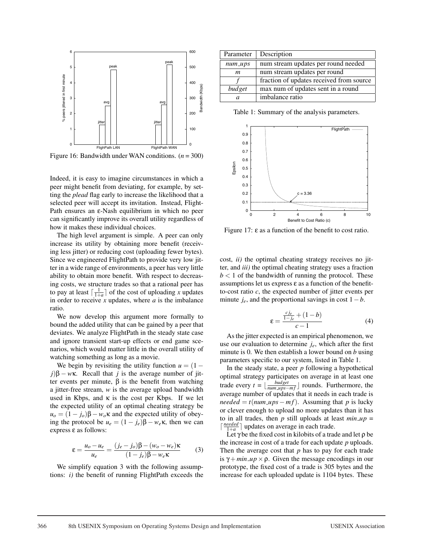

Figure 16: Bandwidth under WAN conditions. (*n* = 300)

Indeed, it is easy to imagine circumstances in which a peer might benefit from deviating, for example, by setting the *plead* flag early to increase the likelihood that a selected peer will accept its invitation. Instead, Flight-Path ensures an ε-Nash equilibrium in which no peer can significantly improve its overall utility regardless of how it makes these individual choices.

The high level argument is simple. A peer can only increase its utility by obtaining more benefit (receiving less jitter) or reducing cost (uploading fewer bytes). Since we engineered FlightPath to provide very low jitter in a wide range of environments, a peer has very little ability to obtain more benefit. With respect to decreasing costs, we structure trades so that a rational peer has to pay at least  $\lceil \frac{1}{1+a} \rceil$  of the cost of uploading *x* updates in order to receive *x* updates, where *a* is the imbalance ratio.

We now develop this argument more formally to bound the added utility that can be gained by a peer that deviates. We analyze FlightPath in the steady state case and ignore transient start-up effects or end game scenarios, which would matter little in the overall utility of watching something as long as a movie.

We begin by revisiting the utility function  $u = (1$  $j$  $\beta$  – *w*k. Recall that *j* is the average number of jitter events per minute, β is the benefit from watching a jitter-free stream, *w* is the average upload bandwidth used in Kbps, and  $\kappa$  is the cost per Kbps. If we let the expected utility of an optimal cheating strategy be  $u<sub>o</sub> = (1 - j<sub>o</sub>)\beta - w<sub>o</sub>\kappa$  and the expected utility of obeying the protocol be  $u_e = (1 - j_e)\beta - w_e\kappa$ , then we can express ε as follows:

$$
\varepsilon = \frac{u_o - u_e}{u_e} = \frac{(j_e - j_o)\beta - (w_o - w_e)\kappa}{(1 - j_e)\beta - w_e\kappa} \tag{3}
$$

We simplify equation 3 with the following assumptions: *i)* the benefit of running FlightPath exceeds the

| Parameter          | Description                              |
|--------------------|------------------------------------------|
| $num_\textit{ups}$ | num stream updates per round needed      |
| m                  | num stream updates per round             |
|                    | fraction of updates received from source |
| budget             | max num of updates sent in a round       |
| a.                 | imbalance ratio                          |

Table 1: Summary of the analysis parameters.



Figure 17: ε as a function of the benefit to cost ratio.

cost, *ii)* the optimal cheating strategy receives no jitter, and *iii)* the optimal cheating strategy uses a fraction  $b < 1$  of the bandwidth of running the protocol. These assumptions let us express  $\varepsilon$  as a function of the benefitto-cost ratio  $c$ , the expected number of jitter events per minute  $j_e$ , and the proportional savings in cost  $1-b$ .

$$
\varepsilon = \frac{\frac{cj_e}{1-j_e} + (1-b)}{c-1} \tag{4}
$$

As the jitter expected is an empirical phenomenon, we use our evaluation to determine *je*, which after the first minute is 0. We then establish a lower bound on *b* using parameters specific to our system, listed in Table 1.

In the steady state, a peer *p* following a hypothetical optimal strategy participates on average in at least one trade every  $t = \lfloor \frac{budget}{num\_ups-mf} \rfloor$  rounds. Furthermore, the average number of updates that it needs in each trade is  $needed = t(num \_\mu ps - mf)$ . Assuming that *p* is lucky or clever enough to upload no more updates than it has to in all trades, then  $p$  still uploads at least  $min\_up =$  $\lceil \frac{needed}{1+a} \rceil$  updates on average in each trade.

Let  $\gamma$  be the fixed cost in kilobits of a trade and let  $\rho$  be the increase in cost of a trade for each update *p* uploads. Then the average cost that *p* has to pay for each trade is  $\gamma + min \mu p \times \rho$ . Given the message encodings in our prototype, the fixed cost of a trade is 305 bytes and the increase for each uploaded update is 1104 bytes. These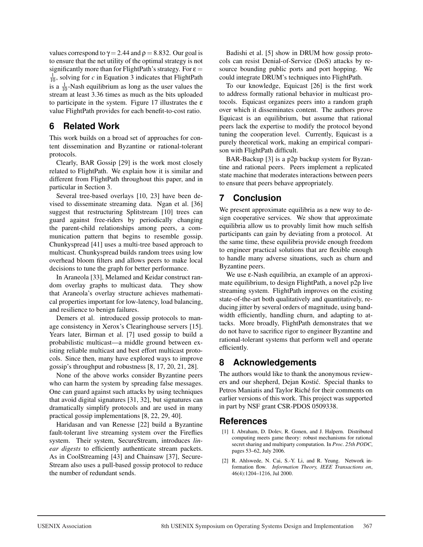values correspond to  $\gamma = 2.44$  and  $\rho = 8.832$ . Our goal is to ensure that the net utility of the optimal strategy is not significantly more than for FlightPath's strategy. For  $\varepsilon$  =  $\frac{1}{10}$ , solving for *c* in Equation 3 indicates that FlightPath is a  $\frac{1}{10}$ -Nash equilibrium as long as the user values the stream at least 3.36 times as much as the bits uploaded to participate in the system. Figure 17 illustrates the ε value FlightPath provides for each benefit-to-cost ratio.

## **6 Related Work**

This work builds on a broad set of approaches for content dissemination and Byzantine or rational-tolerant protocols.

Clearly, BAR Gossip [29] is the work most closely related to FlightPath. We explain how it is similar and different from FlightPath throughout this paper, and in particular in Section 3.

Several tree-based overlays [10, 23] have been devised to disseminate streaming data. Ngan et al. [36] suggest that restructuring Splitstream [10] trees can guard against free-riders by periodically changing the parent-child relationships among peers, a communication pattern that begins to resemble gossip. Chunkyspread [41] uses a multi-tree based approach to multicast. Chunkyspread builds random trees using low overhead bloom filters and allows peers to make local decisions to tune the graph for better performance.

In Araneola [33], Melamed and Keidar construct random overlay graphs to multicast data. They show that Araneola's overlay structure achieves mathematical properties important for low-latency, load balancing, and resilience to benign failures.

Demers et al. introduced gossip protocols to manage consistency in Xerox's Clearinghouse servers [15]. Years later, Birman et al. [7] used gossip to build a probabilistic multicast—a middle ground between existing reliable multicast and best effort multicast protocols. Since then, many have explored ways to improve gossip's throughput and robustness [8, 17, 20, 21, 28].

None of the above works consider Byzantine peers who can harm the system by spreading false messages. One can guard against such attacks by using techniques that avoid digital signatures [31, 32], but signatures can dramatically simplify protocols and are used in many practical gossip implementations [8, 22, 29, 40].

Haridasan and van Renesse [22] build a Byzantine fault-tolerant live streaming system over the Fireflies system. Their system, SecureStream, introduces *linear digests* to efficiently authenticate stream packets. As in CoolStreaming [43] and Chainsaw [37], Secure-Stream also uses a pull-based gossip protocol to reduce the number of redundant sends.

Badishi et al. [5] show in DRUM how gossip protocols can resist Denial-of-Service (DoS) attacks by resource bounding public ports and port hopping. We could integrate DRUM's techniques into FlightPath.

To our knowledge, Equicast [26] is the first work to address formally rational behavior in multicast protocols. Equicast organizes peers into a random graph over which it disseminates content. The authors prove Equicast is an equilibrium, but assume that rational peers lack the expertise to modify the protocol beyond tuning the cooperation level. Currently, Equicast is a purely theoretical work, making an empirical comparison with FlightPath difficult.

BAR-Backup [3] is a p2p backup system for Byzantine and rational peers. Peers implement a replicated state machine that moderates interactions between peers to ensure that peers behave appropriately.

# **7 Conclusion**

We present approximate equilibria as a new way to design cooperative services. We show that approximate equilibria allow us to provably limit how much selfish participants can gain by deviating from a protocol. At the same time, these equilibria provide enough freedom to engineer practical solutions that are flexible enough to handle many adverse situations, such as churn and Byzantine peers.

We use ε-Nash equilibria, an example of an approximate equilibrium, to design FlightPath, a novel p2p live streaming system. FlightPath improves on the existing state-of-the-art both qualitatively and quantitatively, reducing jitter by several orders of magnitude, using bandwidth efficiently, handling churn, and adapting to attacks. More broadly, FlightPath demonstrates that we do not have to sacrifice rigor to engineer Byzantine and rational-tolerant systems that perform well and operate efficiently.

## **8 Acknowledgements**

The authors would like to thank the anonymous reviewers and our shepherd, Dejan Kostic. Special thanks to ´ Petros Maniatis and Taylor Riché for their comments on earlier versions of this work. This project was supported in part by NSF grant CSR-PDOS 0509338.

### **References**

- [1] I. Abraham, D. Dolev, R. Gonen, and J. Halpern. Distributed computing meets game theory: robust mechanisms for rational secret sharing and multiparty computation. In *Proc. 25th PODC*, pages 53–62, July 2006.
- [2] R. Ahlswede, N. Cai, S.-Y. Li, and R. Yeung. Network information flow. *Information Theory, IEEE Transactions on*, 46(4):1204–1216, Jul 2000.